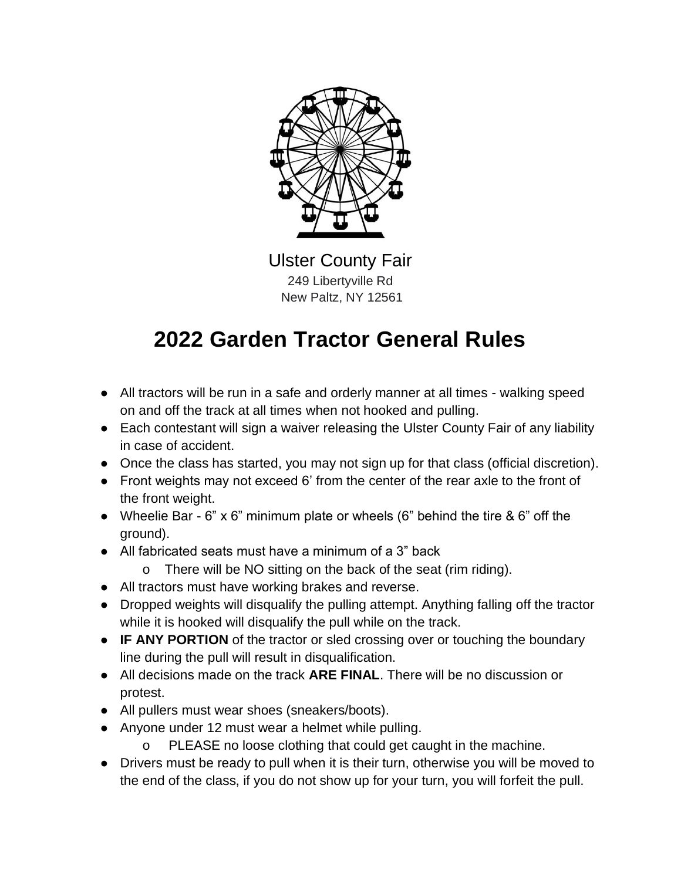

Ulster County Fair 249 Libertyville Rd New Paltz, NY 12561

#### **2022 Garden Tractor General Rules**

- All tractors will be run in a safe and orderly manner at all times walking speed on and off the track at all times when not hooked and pulling.
- Each contestant will sign a waiver releasing the Ulster County Fair of any liability in case of accident.
- Once the class has started, you may not sign up for that class (official discretion).
- Front weights may not exceed 6' from the center of the rear axle to the front of the front weight.
- Wheelie Bar 6" x 6" minimum plate or wheels (6" behind the tire & 6" off the ground).
- All fabricated seats must have a minimum of a 3" back
	- o There will be NO sitting on the back of the seat (rim riding).
- All tractors must have working brakes and reverse.
- Dropped weights will disqualify the pulling attempt. Anything falling off the tractor while it is hooked will disqualify the pull while on the track.
- **IF ANY PORTION** of the tractor or sled crossing over or touching the boundary line during the pull will result in disqualification.
- All decisions made on the track **ARE FINAL**. There will be no discussion or protest.
- All pullers must wear shoes (sneakers/boots).
- Anyone under 12 must wear a helmet while pulling.
	- o PLEASE no loose clothing that could get caught in the machine.
- Drivers must be ready to pull when it is their turn, otherwise you will be moved to the end of the class, if you do not show up for your turn, you will forfeit the pull.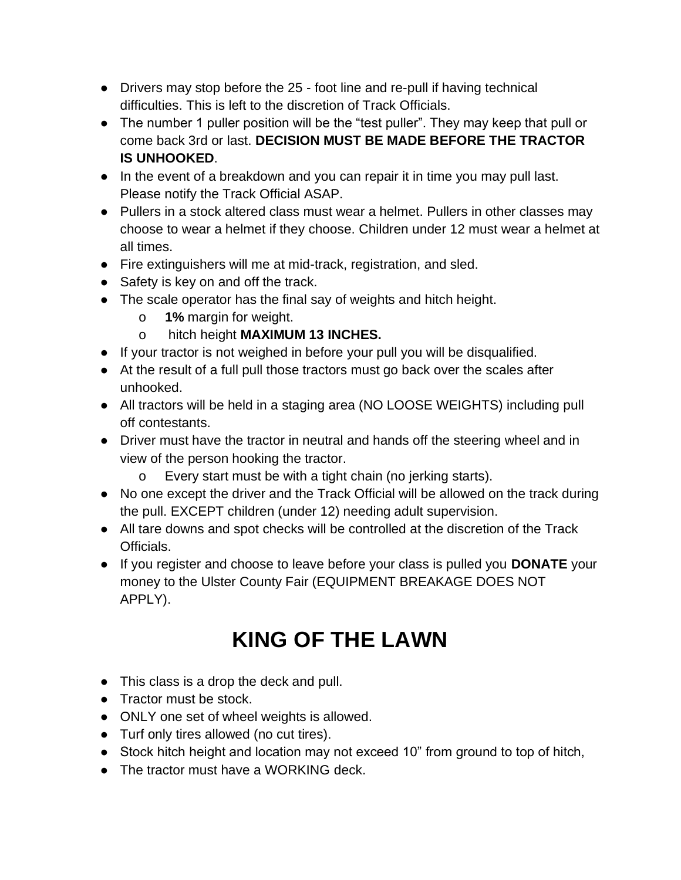- Drivers may stop before the 25 foot line and re-pull if having technical difficulties. This is left to the discretion of Track Officials.
- The number 1 puller position will be the "test puller". They may keep that pull or come back 3rd or last. **DECISION MUST BE MADE BEFORE THE TRACTOR IS UNHOOKED**.
- In the event of a breakdown and you can repair it in time you may pull last. Please notify the Track Official ASAP.
- Pullers in a stock altered class must wear a helmet. Pullers in other classes may choose to wear a helmet if they choose. Children under 12 must wear a helmet at all times.
- Fire extinguishers will me at mid-track, registration, and sled.
- Safety is key on and off the track.
- The scale operator has the final say of weights and hitch height.
	- o **1%** margin for weight.
	- o hitch height **MAXIMUM 13 INCHES.**
- If your tractor is not weighed in before your pull you will be disqualified.
- At the result of a full pull those tractors must go back over the scales after unhooked.
- All tractors will be held in a staging area (NO LOOSE WEIGHTS) including pull off contestants.
- Driver must have the tractor in neutral and hands off the steering wheel and in view of the person hooking the tractor.
	- o Every start must be with a tight chain (no jerking starts).
- No one except the driver and the Track Official will be allowed on the track during the pull. EXCEPT children (under 12) needing adult supervision.
- All tare downs and spot checks will be controlled at the discretion of the Track Officials.
- If you register and choose to leave before your class is pulled you **DONATE** your money to the Ulster County Fair (EQUIPMENT BREAKAGE DOES NOT APPLY).

## **KING OF THE LAWN**

- This class is a drop the deck and pull.
- Tractor must be stock.
- ONLY one set of wheel weights is allowed.
- Turf only tires allowed (no cut tires).
- Stock hitch height and location may not exceed 10" from ground to top of hitch,
- The tractor must have a WORKING deck.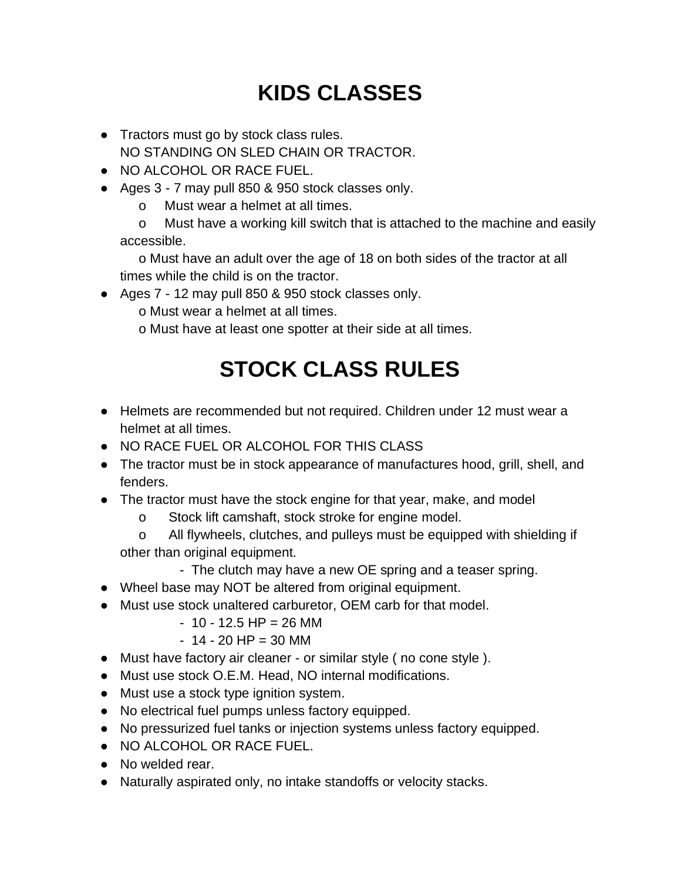# **KIDS CLASSES**

- Tractors must go by stock class rules. NO STANDING ON SLED CHAIN OR TRACTOR.
- NO ALCOHOL OR RACE FUEL.
- Ages 3 7 may pull 850 & 950 stock classes only.
	- o Must wear a helmet at all times.

 o Must have a working kill switch that is attached to the machine and easily accessible.

 o Must have an adult over the age of 18 on both sides of the tractor at all times while the child is on the tractor.

● Ages 7 - 12 may pull 850 & 950 stock classes only.

o Must wear a helmet at all times.

o Must have at least one spotter at their side at all times.

## **STOCK CLASS RULES**

- Helmets are recommended but not required. Children under 12 must wear a helmet at all times.
- NO RACE FUEL OR ALCOHOL FOR THIS CLASS
- The tractor must be in stock appearance of manufactures hood, grill, shell, and fenders.
- The tractor must have the stock engine for that year, make, and model
	- o Stock lift camshaft, stock stroke for engine model.
	- o All flywheels, clutches, and pulleys must be equipped with shielding if other than original equipment.
		- The clutch may have a new OE spring and a teaser spring.
- Wheel base may NOT be altered from original equipment.
- Must use stock unaltered carburetor, OEM carb for that model.
	- $-10 12.5$  HP = 26 MM
	- $-14 20$  HP = 30 MM
- Must have factory air cleaner or similar style ( no cone style ).
- Must use stock O.E.M. Head, NO internal modifications.
- Must use a stock type ignition system.
- No electrical fuel pumps unless factory equipped.
- No pressurized fuel tanks or injection systems unless factory equipped.
- NO ALCOHOL OR RACE FUEL.
- No welded rear.
- Naturally aspirated only, no intake standoffs or velocity stacks.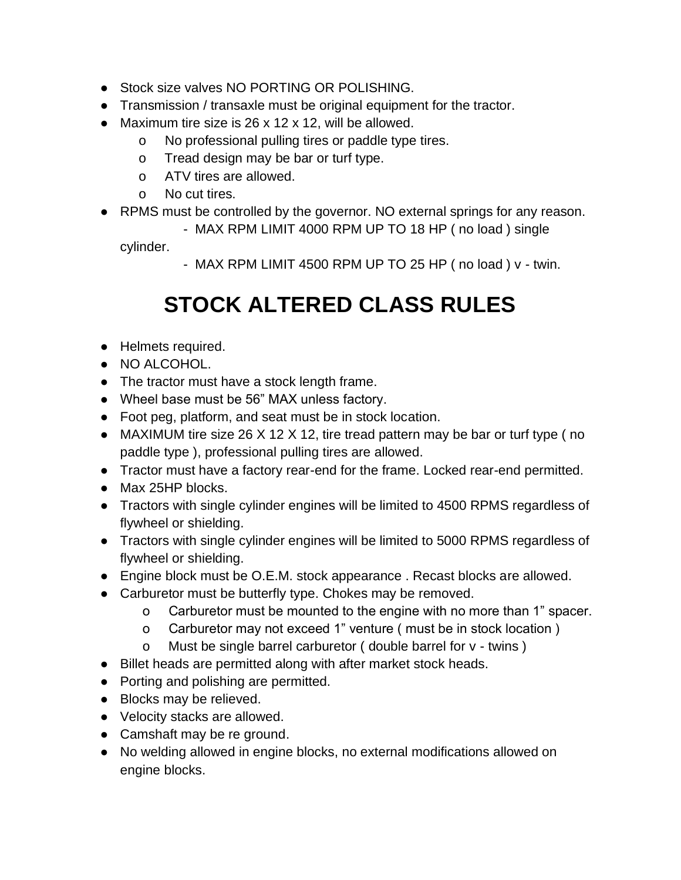- Stock size valves NO PORTING OR POLISHING.
- Transmission / transaxle must be original equipment for the tractor.
- Maximum tire size is 26 x 12 x 12, will be allowed.
	- o No professional pulling tires or paddle type tires.
	- o Tread design may be bar or turf type.
	- o ATV tires are allowed.
	- o No cut tires.
- RPMS must be controlled by the governor. NO external springs for any reason.
	- MAX RPM LIMIT 4000 RPM UP TO 18 HP ( no load ) single

cylinder.

- MAX RPM LIMIT 4500 RPM UP TO 25 HP ( no load ) v - twin.

#### **STOCK ALTERED CLASS RULES**

- Helmets required.
- NO ALCOHOL.
- The tractor must have a stock length frame.
- Wheel base must be 56" MAX unless factory.
- Foot peg, platform, and seat must be in stock location.
- MAXIMUM tire size 26 X 12 X 12, tire tread pattern may be bar or turf type (no paddle type ), professional pulling tires are allowed.
- Tractor must have a factory rear-end for the frame. Locked rear-end permitted.
- Max 25HP blocks.
- Tractors with single cylinder engines will be limited to 4500 RPMS regardless of flywheel or shielding.
- Tractors with single cylinder engines will be limited to 5000 RPMS regardless of flywheel or shielding.
- Engine block must be O.E.M. stock appearance . Recast blocks are allowed.
- Carburetor must be butterfly type. Chokes may be removed.
	- o Carburetor must be mounted to the engine with no more than 1" spacer.
	- o Carburetor may not exceed 1" venture ( must be in stock location )
	- o Must be single barrel carburetor ( double barrel for v twins )
- Billet heads are permitted along with after market stock heads.
- Porting and polishing are permitted.
- Blocks may be relieved.
- Velocity stacks are allowed.
- Camshaft may be re ground.
- No welding allowed in engine blocks, no external modifications allowed on engine blocks.